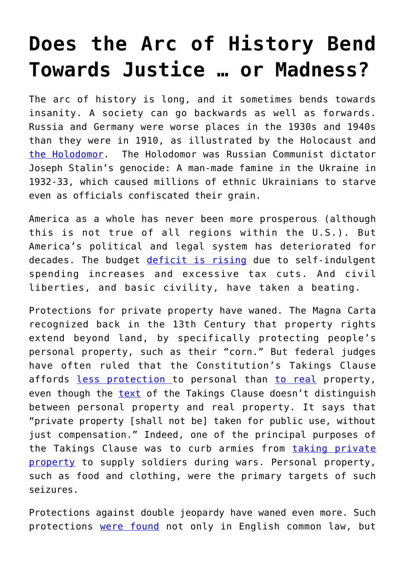## **[Does the Arc of History Bend](https://intellectualtakeout.org/2018/08/does-the-arc-of-history-bend-towards-justice-or-madness/) [Towards Justice … or Madness?](https://intellectualtakeout.org/2018/08/does-the-arc-of-history-bend-towards-justice-or-madness/)**

The arc of history is long, and it sometimes bends towards insanity. A society can go backwards as well as forwards. Russia and Germany were worse places in the 1930s and 1940s than they were in 1910, as illustrated by the Holocaust and [the Holodomor](https://en.wikipedia.org/wiki/Holodomor). The Holodomor was Russian Communist dictator Joseph Stalin's genocide: A man-made famine in the Ukraine in 1932-33, which caused millions of ethnic Ukrainians to starve even as officials confiscated their grain.

America as a whole has never been more prosperous (although this is not true of all regions within the U.S.). But America's political and legal system has deteriorated for decades. The budget [deficit is rising](https://libertyunyielding.com/2018/02/11/bipartisan-spending-increase-pushes-america-closer-bankruptcy/) due to self-indulgent spending increases and excessive tax cuts. And civil liberties, and basic civility, have taken a beating.

Protections for private property have waned. The Magna Carta recognized back in the 13th Century that property rights extend beyond land, by specifically protecting people's personal property, such as their "corn." But federal judges have often ruled that the Constitution's Takings Clause affords [less protection](http://cdn.ca9.uscourts.gov/datastore/opinions/2014/05/09/10-15270.pdf) to personal than [to real](https://scholar.google.com/scholar_case?case=659168721517750079&hl=en&as_sdt=6&as_vis=1&oi=scholarr) property, even though the [text](https://www.law.cornell.edu/constitution/fifth_amendment) of the Takings Clause doesn't distinguish between personal property and real property. It says that "private property [shall not be] taken for public use, without just compensation." Indeed, one of the principal purposes of the Takings Clause was to curb armies from [taking private](http://scholarship.law.wm.edu/cgi/viewcontent.cgi?article=1624&context=wmborj&sei-redir=1&referer=http%3A%2F%2Fscholar.google.com%2Fscholar%3Fq%3Dtom%2Bbell%2Btakings%26btnG%3D%26hl%3Den%26as_sdt%3D0%252C5#search=%22tom%20bell%20takings%22) [property](http://scholarship.law.wm.edu/cgi/viewcontent.cgi?article=1624&context=wmborj&sei-redir=1&referer=http%3A%2F%2Fscholar.google.com%2Fscholar%3Fq%3Dtom%2Bbell%2Btakings%26btnG%3D%26hl%3Den%26as_sdt%3D0%252C5#search=%22tom%20bell%20takings%22) to supply soldiers during wars. Personal property, such as food and clothing, were the primary targets of such seizures.

Protections against double jeopardy have waned even more. Such protections [were found](http://uscivilliberties.org/historical-overview/3710-double-jeopardy-v-early-history-background-framing.html) not only in English common law, but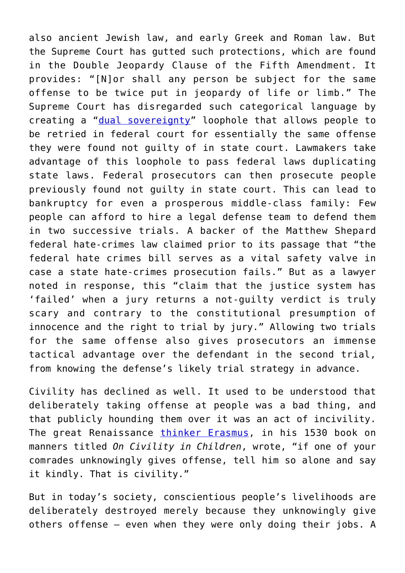also ancient Jewish law, and early Greek and Roman law. But the Supreme Court has gutted such protections, which are found in the Double Jeopardy Clause of the Fifth Amendment. It provides: "[N]or shall any person be subject for the same offense to be twice put in jeopardy of life or limb." The Supreme Court has disregarded such categorical language by creating a " $dual$  sovereignty" loophole that allows people to be retried in federal court for essentially the same offense they were found not guilty of in state court. Lawmakers take advantage of this loophole to pass federal laws duplicating state laws. Federal prosecutors can then prosecute people previously found not guilty in state court. This can lead to bankruptcy for even a prosperous middle-class family: Few people can afford to hire a legal defense team to defend them in two successive trials. A backer of the Matthew Shepard federal hate-crimes law claimed prior to its passage that "the federal hate crimes bill serves as a vital safety valve in case a state hate-crimes prosecution fails." But as a lawyer noted in response, this "claim that the justice system has 'failed' when a jury returns a not-guilty verdict is truly scary and contrary to the constitutional presumption of innocence and the right to trial by jury." Allowing two trials for the same offense also gives prosecutors an immense tactical advantage over the defendant in the second trial, from knowing the defense's likely trial strategy in advance.

Civility has declined as well. It used to be understood that deliberately taking offense at people was a bad thing, and that publicly hounding them over it was an act of incivility. The great Renaissance [thinker Erasmus](https://www.biography.com/people/erasmus-21291705), in his 1530 book on manners titled *On Civility in Children*, wrote, "if one of your comrades unknowingly gives offense, tell him so alone and say it kindly. That is civility."

But in today's society, conscientious people's livelihoods are deliberately destroyed merely because they unknowingly give others offense — even when they were only doing their jobs. A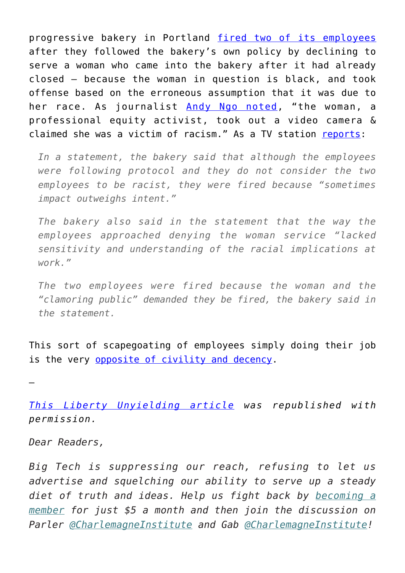progressive bakery in Portland [fired two of its employees](https://kutv.com/news/nation-world/portland-bakery-fires-employees-for-refusing-to-serve-black-woman-after-closing) after they followed the bakery's own policy by declining to serve a woman who came into the bakery after it had already closed — because the woman in question is black, and took offense based on the erroneous assumption that it was due to her race. As journalist [Andy Ngo noted](https://twitter.com/MrAndyNgo/status/1001341049963364352?ref_src=twsrc%5Etfw%7Ctwcamp%5Etweetembed&ref_url=http%3A%2F%2Fkutv.com%2Fnews%2Fnation-world%2Fportland-bakery-fires-employees-for-refusing-to-serve-black-woman-after-closing), "the woman, a professional equity activist, took out a video camera & claimed she was a victim of racism." As a TV station [reports](https://kutv.com/news/nation-world/portland-bakery-fires-employees-for-refusing-to-serve-black-woman-after-closing):

*In a statement, the bakery said that although the employees were following protocol and they do not consider the two employees to be racist, they were fired because "sometimes impact outweighs intent."*

*The bakery also said in the statement that the way the employees approached denying the woman service "lacked sensitivity and understanding of the racial implications at work."*

*The two employees were fired because the woman and the "clamoring public" demanded they be fired, the bakery said in the statement.*

This sort of scapegoating of employees simply doing their job is the very [opposite of civility and decency](https://kutv.com/news/nation-world/portland-bakery-fires-employees-for-refusing-to-serve-black-woman-after-closing).

—

*[This Liberty Unyielding article](https://libertyunyielding.com/2018/08/09/the-arc-of-history-bends-towards-insanity/) was republished with permission.*

*Dear Readers,*

*Big Tech is suppressing our reach, refusing to let us advertise and squelching our ability to serve up a steady diet of truth and ideas. Help us fight back by [becoming a](https://www.chroniclesmagazine.org/subscribe/) [member](https://www.chroniclesmagazine.org/subscribe/) for just \$5 a month and then join the discussion on Parler [@CharlemagneInstitute](https://parler.com/#/user/CharlemagneInstitute) and Gab [@CharlemagneInstitute](https://gab.com/CharlemagneInstitute)!*